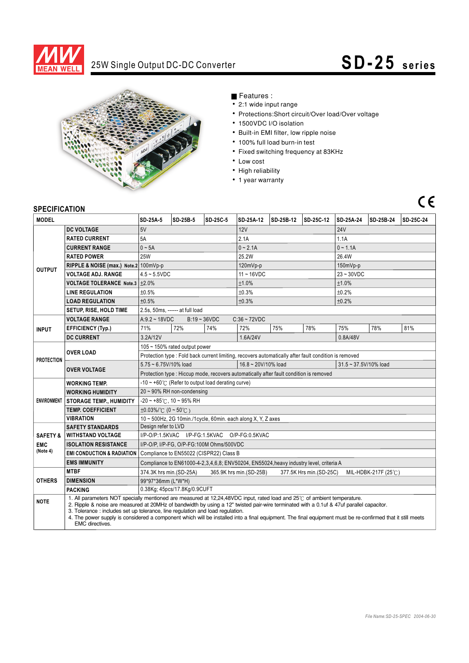

# 25W Single Output DC-DC Converter **SD - 25** series



### Features :

- 2:1 wide input range
- Protections:Short circuit/Over load/Over voltage
- 1500VDC I/O isolation
- Built-in EMI filter, low ripple noise
- 100% full load burn-in test
- Fixed switching frequency at 83KHz
- Low cost
- High reliability
- 1 year warranty

## $C<sub>1</sub>$

### **SPECIFICATION**

| ווטו ושאו ווטב                                |                                                                                                                                                                                                                                                                                                                                                                                                                                                                                                                                        |                                                                                                       |                                                              |          |                   |           |           |                                |           |           |  |
|-----------------------------------------------|----------------------------------------------------------------------------------------------------------------------------------------------------------------------------------------------------------------------------------------------------------------------------------------------------------------------------------------------------------------------------------------------------------------------------------------------------------------------------------------------------------------------------------------|-------------------------------------------------------------------------------------------------------|--------------------------------------------------------------|----------|-------------------|-----------|-----------|--------------------------------|-----------|-----------|--|
| <b>MODEL</b>                                  |                                                                                                                                                                                                                                                                                                                                                                                                                                                                                                                                        | SD-25A-5                                                                                              | SD-25B-5                                                     | SD-25C-5 | SD-25A-12         | SD-25B-12 | SD-25C-12 | <b>SD-25A-24</b>               | SD-25B-24 | SD-25C-24 |  |
| <b>OUTPUT</b>                                 | <b>DC VOLTAGE</b>                                                                                                                                                                                                                                                                                                                                                                                                                                                                                                                      | 5V                                                                                                    |                                                              |          | 12V               |           |           | <b>24V</b>                     |           |           |  |
|                                               | <b>RATED CURRENT</b>                                                                                                                                                                                                                                                                                                                                                                                                                                                                                                                   | 5A                                                                                                    |                                                              |          | 2.1A              |           |           | 1.1A                           |           |           |  |
|                                               | <b>CURRENT RANGE</b>                                                                                                                                                                                                                                                                                                                                                                                                                                                                                                                   | $0 - 5A$                                                                                              |                                                              |          | $0 - 2.1A$        |           |           | $0 - 1.1A$                     |           |           |  |
|                                               | <b>RATED POWER</b>                                                                                                                                                                                                                                                                                                                                                                                                                                                                                                                     | <b>25W</b>                                                                                            |                                                              |          | 25.2W             |           |           | 26.4W                          |           |           |  |
|                                               | RIPPLE & NOISE (max.) Note.2 100mVp-p                                                                                                                                                                                                                                                                                                                                                                                                                                                                                                  |                                                                                                       |                                                              |          | $120mVp-p$        |           |           | 150mVp-p                       |           |           |  |
|                                               | <b>VOLTAGE ADJ. RANGE</b>                                                                                                                                                                                                                                                                                                                                                                                                                                                                                                              | $4.5 - 5.5$ VDC                                                                                       |                                                              |          | $11 - 16$ VDC     |           |           | $23 - 30VDC$                   |           |           |  |
|                                               | <b>VOLTAGE TOLERANCE Note.3</b>                                                                                                                                                                                                                                                                                                                                                                                                                                                                                                        | ±2.0%                                                                                                 |                                                              |          | ±1.0%             |           |           | ±1.0%                          |           |           |  |
|                                               | <b>LINE REGULATION</b>                                                                                                                                                                                                                                                                                                                                                                                                                                                                                                                 | ±0.5%                                                                                                 |                                                              |          | ±0.3%             |           |           | ±0.2%                          |           |           |  |
|                                               | <b>LOAD REGULATION</b>                                                                                                                                                                                                                                                                                                                                                                                                                                                                                                                 | ±0.5%                                                                                                 |                                                              |          | ±0.3%             |           |           | ±0.2%                          |           |           |  |
|                                               | SETUP, RISE, HOLD TIME                                                                                                                                                                                                                                                                                                                                                                                                                                                                                                                 | 2.5s, 50ms, ------ at full load                                                                       |                                                              |          |                   |           |           |                                |           |           |  |
| <b>INPUT</b>                                  | <b>VOLTAGE RANGE</b>                                                                                                                                                                                                                                                                                                                                                                                                                                                                                                                   |                                                                                                       | $B:19 - 36VDC$<br>$C:36 \sim 72VDC$<br>$A:9.2 - 18VDC$       |          |                   |           |           |                                |           |           |  |
|                                               | <b>EFFICIENCY (Typ.)</b>                                                                                                                                                                                                                                                                                                                                                                                                                                                                                                               | 71%                                                                                                   | 72%                                                          | 74%      | 72%               | 75%       | 78%       | 75%                            | 78%       | 81%       |  |
|                                               | <b>DC CURRENT</b>                                                                                                                                                                                                                                                                                                                                                                                                                                                                                                                      | 3.2A/12V                                                                                              |                                                              |          | 1.6A/24V          |           |           | 0.8A/48V                       |           |           |  |
| <b>PROTECTION</b>                             | <b>OVER LOAD</b>                                                                                                                                                                                                                                                                                                                                                                                                                                                                                                                       | 105 ~ 150% rated output power                                                                         |                                                              |          |                   |           |           |                                |           |           |  |
|                                               |                                                                                                                                                                                                                                                                                                                                                                                                                                                                                                                                        | Protection type : Fold back current limiting, recovers automatically after fault condition is removed |                                                              |          |                   |           |           |                                |           |           |  |
|                                               | <b>OVER VOLTAGE</b>                                                                                                                                                                                                                                                                                                                                                                                                                                                                                                                    | 5.75 ~ 6.75V/10% load                                                                                 |                                                              |          | 16.8~20V/10% load |           |           | $31.5 \approx 37.5$ V/10% load |           |           |  |
|                                               |                                                                                                                                                                                                                                                                                                                                                                                                                                                                                                                                        | Protection type : Hiccup mode, recovers automatically after fault condition is removed                |                                                              |          |                   |           |           |                                |           |           |  |
|                                               | <b>WORKING TEMP.</b>                                                                                                                                                                                                                                                                                                                                                                                                                                                                                                                   |                                                                                                       | $-10 \sim +60^{\circ}$ (Refer to output load derating curve) |          |                   |           |           |                                |           |           |  |
|                                               | <b>WORKING HUMIDITY</b>                                                                                                                                                                                                                                                                                                                                                                                                                                                                                                                | $20 \sim 90\%$ RH non-condensing                                                                      |                                                              |          |                   |           |           |                                |           |           |  |
|                                               | ENVIRONMENT   STORAGE TEMP., HUMIDITY                                                                                                                                                                                                                                                                                                                                                                                                                                                                                                  | $-20$ ~ +85°C, 10 ~ 95% RH                                                                            |                                                              |          |                   |           |           |                                |           |           |  |
|                                               | <b>TEMP, COEFFICIENT</b>                                                                                                                                                                                                                                                                                                                                                                                                                                                                                                               | $\pm 0.03\%$ (0 ~ 50°C)                                                                               |                                                              |          |                   |           |           |                                |           |           |  |
|                                               | <b>VIBRATION</b>                                                                                                                                                                                                                                                                                                                                                                                                                                                                                                                       | 10 ~ 500Hz, 2G 10min./1cycle, 60min. each along X, Y, Z axes                                          |                                                              |          |                   |           |           |                                |           |           |  |
|                                               | <b>SAFETY STANDARDS</b>                                                                                                                                                                                                                                                                                                                                                                                                                                                                                                                | Design refer to LVD                                                                                   |                                                              |          |                   |           |           |                                |           |           |  |
| <b>SAFETY &amp;</b><br><b>EMC</b><br>(Note 4) | <b>WITHSTAND VOLTAGE</b>                                                                                                                                                                                                                                                                                                                                                                                                                                                                                                               | I/P-O/P:1.5KVAC I/P-FG:1.5KVAC O/P-FG:0.5KVAC                                                         |                                                              |          |                   |           |           |                                |           |           |  |
|                                               | <b>ISOLATION RESISTANCE</b>                                                                                                                                                                                                                                                                                                                                                                                                                                                                                                            | I/P-O/P, I/P-FG, O/P-FG:100M Ohms/500VDC                                                              |                                                              |          |                   |           |           |                                |           |           |  |
|                                               | <b>EMI CONDUCTION &amp; RADIATION</b>                                                                                                                                                                                                                                                                                                                                                                                                                                                                                                  | Compliance to EN55022 (CISPR22) Class B                                                               |                                                              |          |                   |           |           |                                |           |           |  |
|                                               | <b>EMS IMMUNITY</b>                                                                                                                                                                                                                                                                                                                                                                                                                                                                                                                    | Compliance to EN61000-4-2,3,4,6,8; ENV50204, EN55024, heavy industry level, criteria A                |                                                              |          |                   |           |           |                                |           |           |  |
| <b>OTHERS</b>                                 | <b>MTBF</b>                                                                                                                                                                                                                                                                                                                                                                                                                                                                                                                            | 377.5K Hrs min.(SD-25C)<br>374.3K hrs min.(SD-25A)<br>365.9K hrs min.(SD-25B)<br>MIL-HDBK-217F (25℃)  |                                                              |          |                   |           |           |                                |           |           |  |
|                                               | <b>DIMENSION</b>                                                                                                                                                                                                                                                                                                                                                                                                                                                                                                                       | 99*97*36mm (L*W*H)                                                                                    |                                                              |          |                   |           |           |                                |           |           |  |
|                                               | <b>PACKING</b>                                                                                                                                                                                                                                                                                                                                                                                                                                                                                                                         | 0.38Kg; 45pcs/17.8Kg/0.9CUFT                                                                          |                                                              |          |                   |           |           |                                |           |           |  |
| <b>NOTE</b>                                   | 1. All parameters NOT specially mentioned are measured at 12.24.48VDC input, rated load and 25°C of ambient temperature.<br>2. Ripple & noise are measured at 20MHz of bandwidth by using a 12" twisted pair-wire terminated with a 0.1uf & 47uf parallel capacitor.<br>3. Tolerance: includes set up tolerance, line regulation and load regulation.<br>4. The power supply is considered a component which will be installed into a final equipment. The final equipment must be re-confirmed that it still meets<br>EMC directives. |                                                                                                       |                                                              |          |                   |           |           |                                |           |           |  |